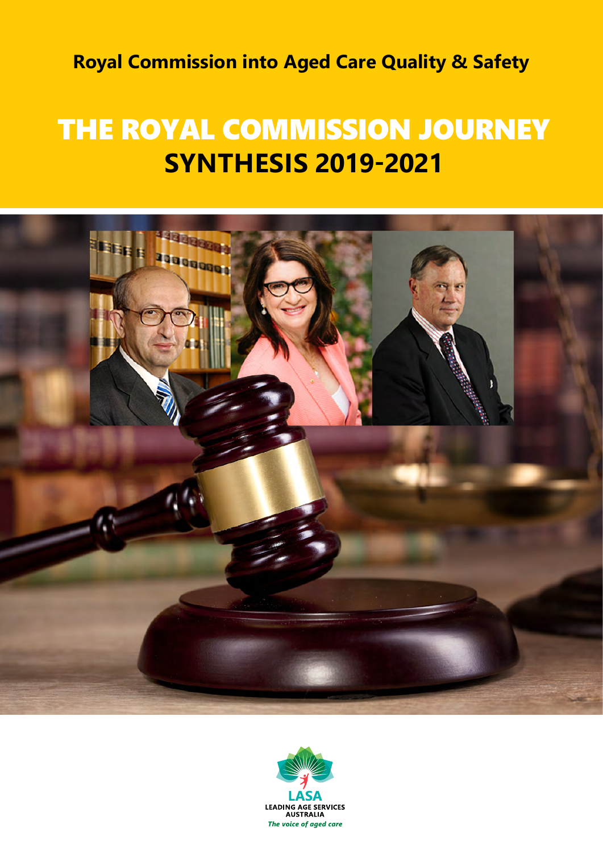**Royal Commission into Aged Care Quality & Safety**

# THE ROYAL COMMISSION JOURNEY **SYNTHESIS 2019-2021**



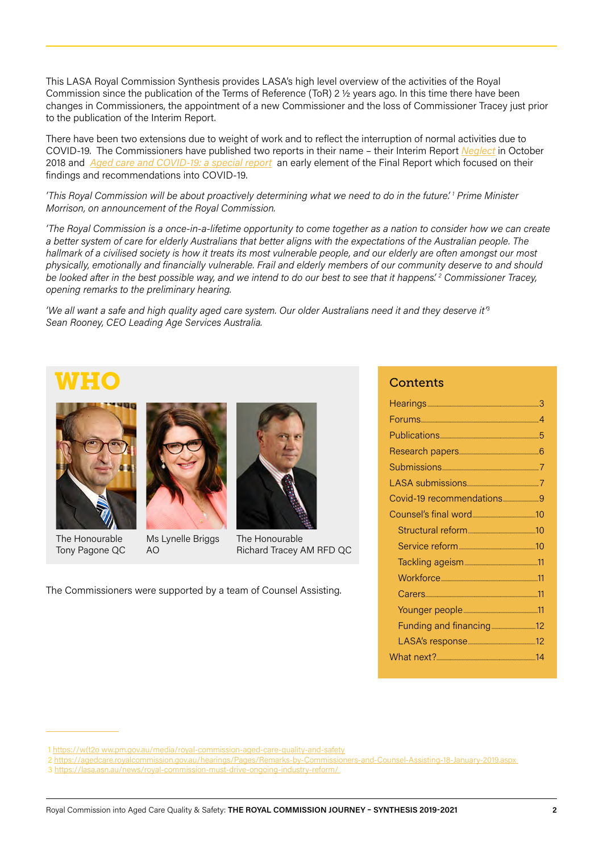This LASA Royal Commission Synthesis provides LASA's high level overview of the activities of the Royal Commission since the publication of the Terms of Reference (ToR) 2 ½ years ago. In this time there have been changes in Commissioners, the appointment of a new Commissioner and the loss of Commissioner Tracey just prior to the publication of the Interim Report.

There have been two extensions due to weight of work and to reflect the interruption of normal activities due to COVID-19. The Commissioners have published two reports in their name – their Interim Report *[Neglect](https://agedcare.royalcommission.gov.au/publications/interim-report-volume-1)* in October 2018 and *[Aged care and COVID-19: a special report](https://agedcare.royalcommission.gov.au/publications/aged-care-and-covid-19-special-report)* an early element of the Final Report which focused on their findings and recommendations into COVID-19.

*'This Royal Commission will be about proactively determining what we need to do in the future'. 1 Prime Minister Morrison, on announcement of the Royal Commission.*

*'The Royal Commission is a once-in-a-lifetime opportunity to come together as a nation to consider how we can create a better system of care for elderly Australians that better aligns with the expectations of the Australian people. The hallmark of a civilised society is how it treats its most vulnerable people, and our elderly are often amongst our most physically, emotionally and financially vulnerable. Frail and elderly members of our community deserve to and should be looked after in the best possible way, and we intend to do our best to see that it happens'. 2 Commissioner Tracey, opening remarks to the preliminary hearing.*

*'We all want a safe and high quality aged care system. Our older Australians need it and they deserve it'3 Sean Rooney, CEO Leading Age Services Australia.* 

## WHO



The Honourable Tony Pagone QC



Ms Lynelle Briggs AO

The Honourable Richard Tracey AM RFD QC

The Commissioners were supported by a team of Counsel Assisting.

### **Contents**

| Covid-19 recommendations9 |  |
|---------------------------|--|
|                           |  |
|                           |  |
|                           |  |
|                           |  |
|                           |  |
|                           |  |
|                           |  |
|                           |  |
|                           |  |
|                           |  |

<sup>1</sup> [https://w\(t2o ww.pm.gov.au/media/royal-commission-aged-care-quality-and-safety](https://w(t2o ww.pm.gov.au/media/royal-commission-aged-care-quality-and-safety)

 <sup>2</sup> <https://agedcare.royalcommission.gov.au/hearings/Pages/Remarks-by-Commissioners-and-Counsel-Assisting-18-January-2019.aspx>

 <sup>3</sup> <https://lasa.asn.au/news/royal-commission-must-drive-ongoing-industry-reform/>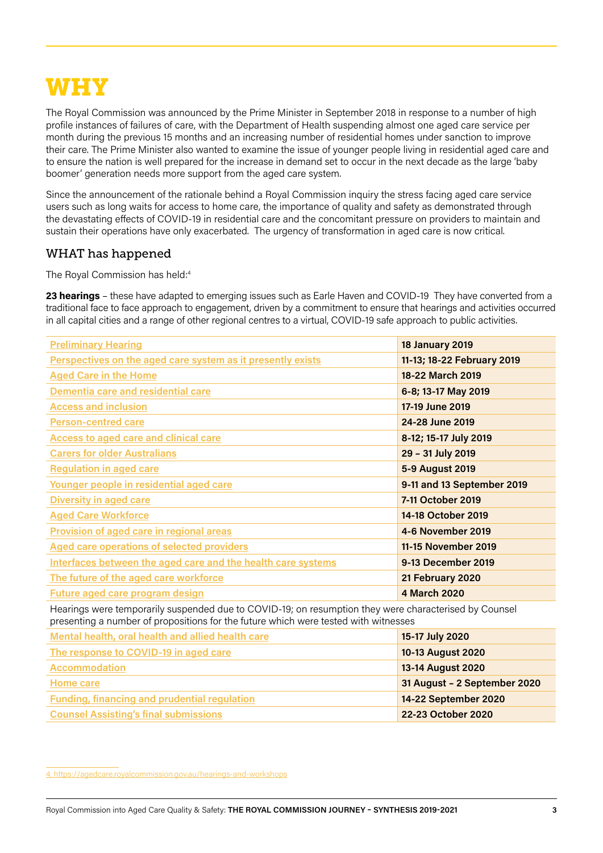## WHY

The Royal Commission was announced by the Prime Minister in September 2018 in response to a number of high profile instances of failures of care, with the Department of Health suspending almost one aged care service per month during the previous 15 months and an increasing number of residential homes under sanction to improve their care. The Prime Minister also wanted to examine the issue of younger people living in residential aged care and to ensure the nation is well prepared for the increase in demand set to occur in the next decade as the large 'baby boomer' generation needs more support from the aged care system.

Since the announcement of the rationale behind a Royal Commission inquiry the stress facing aged care service users such as long waits for access to home care, the importance of quality and safety as demonstrated through the devastating effects of COVID-19 in residential care and the concomitant pressure on providers to maintain and sustain their operations have only exacerbated. The urgency of transformation in aged care is now critical.

### WHAT has happened

The Royal Commission has held:<sup>4</sup>

**23 hearings** – these have adapted to emerging issues such as Earle Haven and COVID-19 They have converted from a traditional face to face approach to engagement, driven by a commitment to ensure that hearings and activities occurred in all capital cities and a range of other regional centres to a virtual, COVID-19 safe approach to public activities.

| <b>Preliminary Hearing</b>                                                                                                                                                                                                    | <b>18 January 2019</b>     |
|-------------------------------------------------------------------------------------------------------------------------------------------------------------------------------------------------------------------------------|----------------------------|
| Perspectives on the aged care system as it presently exists                                                                                                                                                                   | 11-13; 18-22 February 2019 |
| <b>Aged Care in the Home</b>                                                                                                                                                                                                  | 18-22 March 2019           |
| Dementia care and residential care                                                                                                                                                                                            | 6-8; 13-17 May 2019        |
| <b>Access and inclusion</b>                                                                                                                                                                                                   | 17-19 June 2019            |
| <b>Person-centred care</b>                                                                                                                                                                                                    | 24-28 June 2019            |
| <b>Access to aged care and clinical care</b>                                                                                                                                                                                  | 8-12; 15-17 July 2019      |
| <b>Carers for older Australians</b>                                                                                                                                                                                           | 29 - 31 July 2019          |
| <b>Regulation in aged care</b>                                                                                                                                                                                                | 5-9 August 2019            |
| Younger people in residential aged care                                                                                                                                                                                       | 9-11 and 13 September 2019 |
| <b>Diversity in aged care</b>                                                                                                                                                                                                 | 7-11 October 2019          |
| <b>Aged Care Workforce</b>                                                                                                                                                                                                    | 14-18 October 2019         |
| <b>Provision of aged care in regional areas</b>                                                                                                                                                                               | 4-6 November 2019          |
| <b>Aged care operations of selected providers</b>                                                                                                                                                                             | 11-15 November 2019        |
| Interfaces between the aged care and the health care systems                                                                                                                                                                  | 9-13 December 2019         |
| The future of the aged care workforce                                                                                                                                                                                         | 21 February 2020           |
| <b>Future aged care program design</b>                                                                                                                                                                                        | <b>4 March 2020</b>        |
| and the second control of the second second and the second second second to the second second and second the second second second and second second second and second second second second second second second second second |                            |

Hearings were temporarily suspended due to COVID-19; on resumption they were characterised by Counsel presenting a number of propositions for the future which were tested with witnesses

| Mental health, oral health and allied health care   | 15-17 July 2020              |
|-----------------------------------------------------|------------------------------|
| The response to COVID-19 in aged care               | 10-13 August 2020            |
| <b>Accommodation</b>                                | 13-14 August 2020            |
| Home care                                           | 31 August - 2 September 2020 |
| <b>Funding, financing and prudential regulation</b> | 14-22 September 2020         |
| <b>Counsel Assisting's final submissions</b>        | 22-23 October 2020           |

[4. https://agedcare.royalcommission.gov.au/hearings-and-workshops](https://agedcare.royalcommission.gov.au/hearings-and-workshops)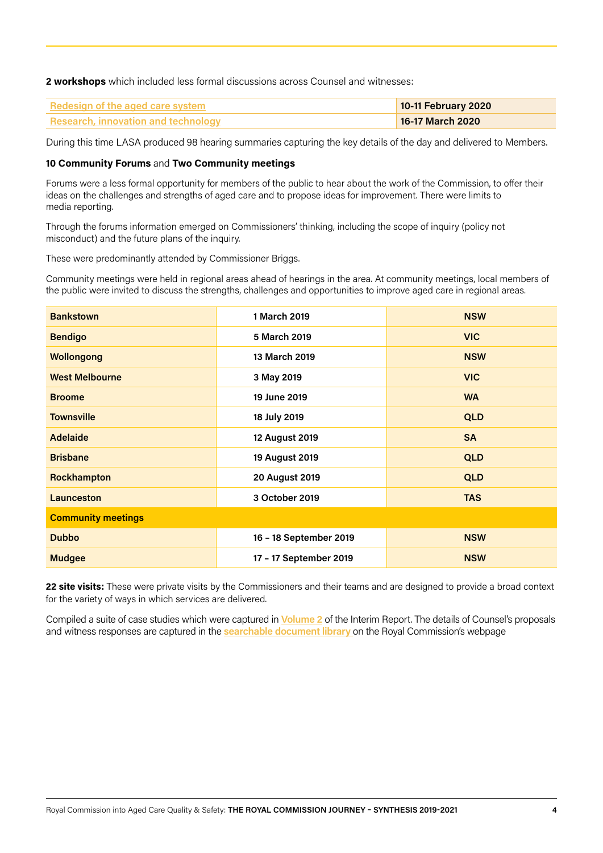**2 workshops** which included less formal discussions across Counsel and witnesses:

| <b>Redesign of the aged care system</b>    | 10-11 February 2020 |
|--------------------------------------------|---------------------|
| <b>Research, innovation and technology</b> | 16-17 March 2020    |

During this time LASA produced 98 hearing summaries capturing the key details of the day and delivered to Members.

#### **10 Community Forums** and **Two Community meetings**

Forums were a less formal opportunity for members of the public to hear about the work of the Commission, to offer their ideas on the challenges and strengths of aged care and to propose ideas for improvement. There were limits to media reporting.

Through the forums information emerged on Commissioners' thinking, including the scope of inquiry (policy not misconduct) and the future plans of the inquiry.

These were predominantly attended by Commissioner Briggs.

Community meetings were held in regional areas ahead of hearings in the area. At community meetings, local members of the public were invited to discuss the strengths, challenges and opportunities to improve aged care in regional areas.

| <b>Bankstown</b>          | 1 March 2019           | <b>NSW</b> |
|---------------------------|------------------------|------------|
| <b>Bendigo</b>            | 5 March 2019           | <b>VIC</b> |
| <b>Wollongong</b>         | 13 March 2019          | <b>NSW</b> |
| <b>West Melbourne</b>     | 3 May 2019             | <b>VIC</b> |
| <b>Broome</b>             | 19 June 2019           | <b>WA</b>  |
| <b>Townsville</b>         | 18 July 2019           | <b>QLD</b> |
| <b>Adelaide</b>           | 12 August 2019         | <b>SA</b>  |
| <b>Brisbane</b>           | 19 August 2019         | <b>QLD</b> |
| Rockhampton               | <b>20 August 2019</b>  | <b>QLD</b> |
| <b>Launceston</b>         | 3 October 2019         | <b>TAS</b> |
| <b>Community meetings</b> |                        |            |
| <b>Dubbo</b>              | 16 - 18 September 2019 | <b>NSW</b> |
| <b>Mudgee</b>             | 17 - 17 September 2019 | <b>NSW</b> |

**22 site visits:** These were private visits by the Commissioners and their teams and are designed to provide a broad context for the variety of ways in which services are delivered.

Compiled a suite of case studies which were captured in **[Volume 2](https://agedcare.royalcommission.gov.au/publications/interim-report-volume-2)** of the Interim Report. The details of Counsel's proposals and witness responses are captured in the **[searchable document library](https://agedcare.royalcommission.gov.au/hearings/document-library)** on the Royal Commission's webpage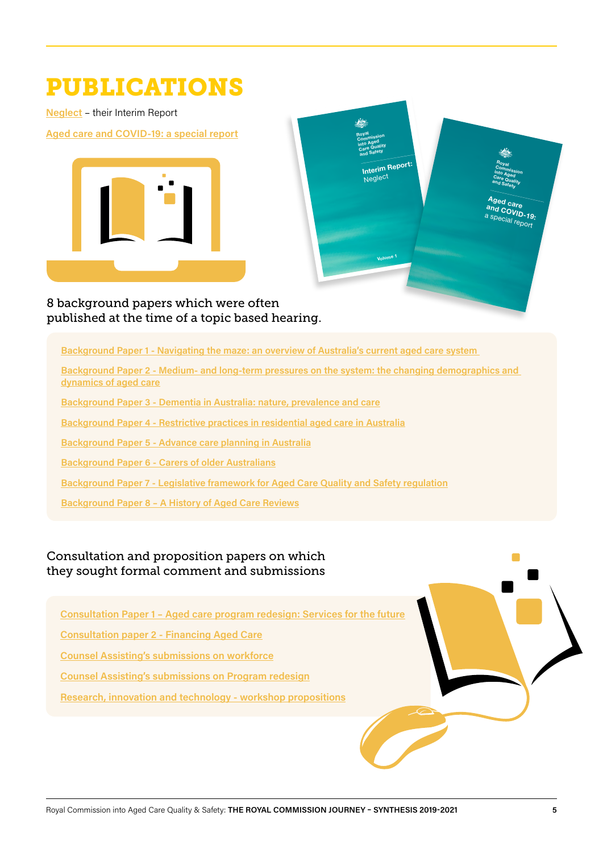## PUBLICATIONS

**[Neglect](https://agedcare.royalcommission.gov.au/publications/interim-report)** – their Interim Report

**[Aged care and COVID-19: a special report](https://agedcare.royalcommission.gov.au/publications/aged-care-and-covid-19-special-report)**





8 background papers which were often published at the time of a topic based hearing.

**[Background Paper 1 - Navigating the maze: an overview of Australia's current aged care system](https://agedcare.royalcommission.gov.au/publications/background-paper-1-navigating-maze-overview-australias-current-aged-care-system)** 

**[Background Paper 2 - Medium- and long-term pressures on the system: the changing demographics and](https://agedcare.royalcommission.gov.au/publications/background-paper-2-medium-and-long-term-pressures-system-changing-demographics-and-dynamics-aged-care)  [dynamics of aged care](https://agedcare.royalcommission.gov.au/publications/background-paper-2-medium-and-long-term-pressures-system-changing-demographics-and-dynamics-aged-care)**

**[Background Paper 3 - Dementia in Australia: nature, prevalence and care](https://agedcare.royalcommission.gov.au/publications/background-paper-3-dementia-australia-nature-prevalence-and-care)**

**[Background Paper 4 - Restrictive practices in residential aged care in Australia](https://agedcare.royalcommission.gov.au/publications/background-paper-4-restrictive-practices-residential-aged-care-australia)**

**[Background Paper 5 - Advance care planning in Australia](https://agedcare.royalcommission.gov.au/publications/background-paper-5-advance-care-planning-australia)**

**[Background Paper 6 - Carers of older Australians](https://agedcare.royalcommission.gov.au/publications/background-paper-6-carers-older-australians)**

**[Background Paper 7 - Legislative framework for Aged Care Quality and Safety regulation](https://agedcare.royalcommission.gov.au/publications/background-paper-7-legislative-framework-aged-care-quality-and-safety-regulation)**

**[Background Paper 8 – A History of Aged Care Reviews](https://agedcare.royalcommission.gov.au/publications/background-paper-8-history-aged-care-reviews)**

## Consultation and proposition papers on which they sought formal comment and submissions

**[Consultation Paper 1 – Aged care program redesign: Services for the future](https://agedcare.royalcommission.gov.au/publications/consultation-paper-1-aged-care-program-redesign-services-future)**

**[Consultation paper 2 - Financing Aged Care](https://agedcare.royalcommission.gov.au/publications/consultation-paper-2-financing-aged-care)**

**[Counsel Assisting's submissions on workforce](https://agedcare.royalcommission.gov.au/publications/counsel-assistings-submissions-workforce)**

**[Counsel Assisting's submissions on Program redesign](https://agedcare.royalcommission.gov.au/publications/counsel-assistings-submissions-program-redesign)**

**[Research, innovation and technology - workshop propositions](https://agedcare.royalcommission.gov.au/publications/research-innovation-and-technology-workshop-propositions)**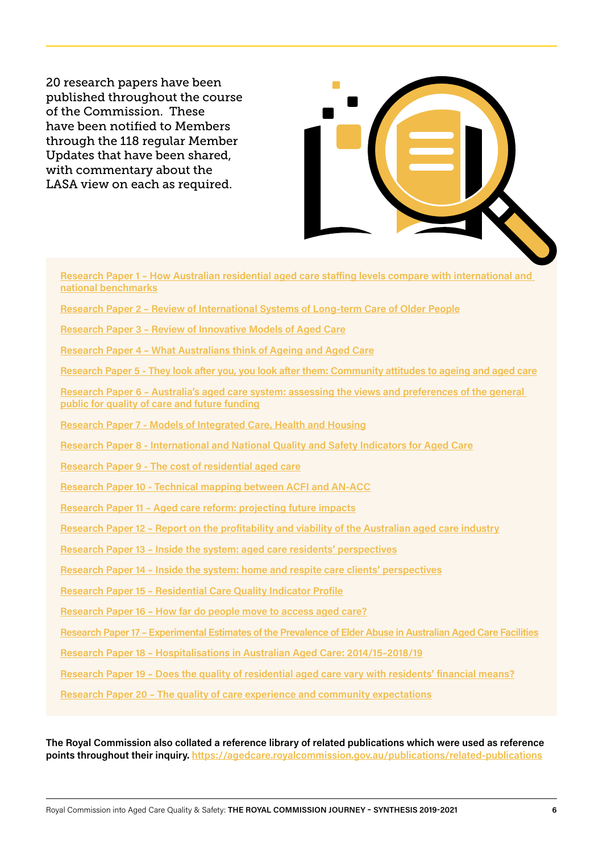20 research papers have been published throughout the course of the Commission. These have been notified to Members through the 118 regular Member Updates that have been shared, with commentary about the LASA view on each as required.



**[Research Paper 1 – How Australian residential aged care staffing levels compare with international and](https://agedcare.royalcommission.gov.au/publications/research-paper-1-how-australian-residential-aged-care-staffing-levels-compare-international-and-national-benchmarks)  [national benchmarks](https://agedcare.royalcommission.gov.au/publications/research-paper-1-how-australian-residential-aged-care-staffing-levels-compare-international-and-national-benchmarks) [Research Paper 2 – Review of International Systems of Long-term Care of Older People](https://agedcare.royalcommission.gov.au/publications/research-paper-2-review-international-systems-long-term-care-older-people)**

**[Research Paper 3 – Review of Innovative Models of Aged Care](https://agedcare.royalcommission.gov.au/publications/research-paper-3-review-innovative-models-aged-care)**

**[Research Paper 4 – What Australians think of Ageing and Aged Care](https://agedcare.royalcommission.gov.au/publications/research-paper-4-what-australians-think-ageing-and-aged-care)**

**[Research Paper 5 - They look after you, you look after them: Community attitudes to ageing and aged care](https://agedcare.royalcommission.gov.au/publications/research-paper-5-they-look-after-you-you-look-after-them-community-attitudes-ageing-and-aged-care)**

**[Research Paper 6 – Australia's aged care system: assessing the views and preferences of the general](https://agedcare.royalcommission.gov.au/publications/research-paper-6-australias-aged-care-system-assessing-views-and-preferences-general-public-quality-care-and-future-funding)  [public for quality of care and future funding](https://agedcare.royalcommission.gov.au/publications/research-paper-6-australias-aged-care-system-assessing-views-and-preferences-general-public-quality-care-and-future-funding)**

**[Research Paper 7 - Models of Integrated Care, Health and Housing](https://agedcare.royalcommission.gov.au/publications/research-paper-7-models-integrated-care-health-and-housing)**

**[Research Paper 8 - International and National Quality and Safety Indicators for Aged Care](https://agedcare.royalcommission.gov.au/publications/research-paper-8-international-and-national-quality-and-safety-indicators-aged-care)**

**[Research Paper 9 - The cost of residential aged care](https://agedcare.royalcommission.gov.au/publications/research-paper-9-cost-residential-aged-care)**

**[Research Paper 10 - Technical mapping between ACFI and AN-ACC](https://agedcare.royalcommission.gov.au/publications/research-paper-10-technical-mapping-between-acfi-and-acc)**

**[Research Paper 11 – Aged care reform: projecting future impacts](https://agedcare.royalcommission.gov.au/publications/research-paper-11-aged-care-reform-projecting-future-impacts)**

**[Research Paper 12 – Report on the profitability and viability of the Australian aged care industry](https://agedcare.royalcommission.gov.au/publications/research-paper-12-report-profitability-and-viability-australian-aged-care-industry)**

**[Research Paper 13 – Inside the system: aged care residents' perspectives](https://agedcare.royalcommission.gov.au/publications/research-paper-13-inside-system-aged-care-residents-perspectives)**

**[Research Paper 14 – Inside the system: home and respite care clients' perspectives](https://agedcare.royalcommission.gov.au/publications/research-paper-14-inside-system-home-and-respite-care-clients-perspectives)**

**[Research Paper 15 – Residential Care Quality Indicator Profile](https://agedcare.royalcommission.gov.au/publications/research-paper-15-residential-care-quality-indicator-profile)**

**[Research Paper 16 – How far do people move to access aged care?](https://agedcare.royalcommission.gov.au/publications/research-paper-16-how-far-do-people-move-access-aged-care)**

**[Research Paper 17 – Experimental Estimates of the Prevalence of Elder Abuse in Australian Aged Care Facilities](https://agedcare.royalcommission.gov.au/publications/research-paper-17-experimental-estimates-prevalence-elder-abuse-australian-aged-care-facilities)**

**[Research Paper 18 – Hospitalisations in Australian Aged Care: 2014/15–2018/19](https://agedcare.royalcommission.gov.au/publications/research-paper-18-hospitalisations-australian-aged-care-201415-201819)**

**[Research Paper 19 – Does the quality of residential aged care vary with residents' financial means?](https://agedcare.royalcommission.gov.au/publications/research-paper-19-does-quality-residential-aged-care-vary-residents-financial-means)**

**[Research Paper 20 – The quality of care experience and community expectations](https://agedcare.royalcommission.gov.au/publications/research-paper-20-quality-care-experience-and-community-expectations)**

**The Royal Commission also collated a reference library of related publications which were used as reference points throughout their inquiry.<https://agedcare.royalcommission.gov.au/publications/related-publications>**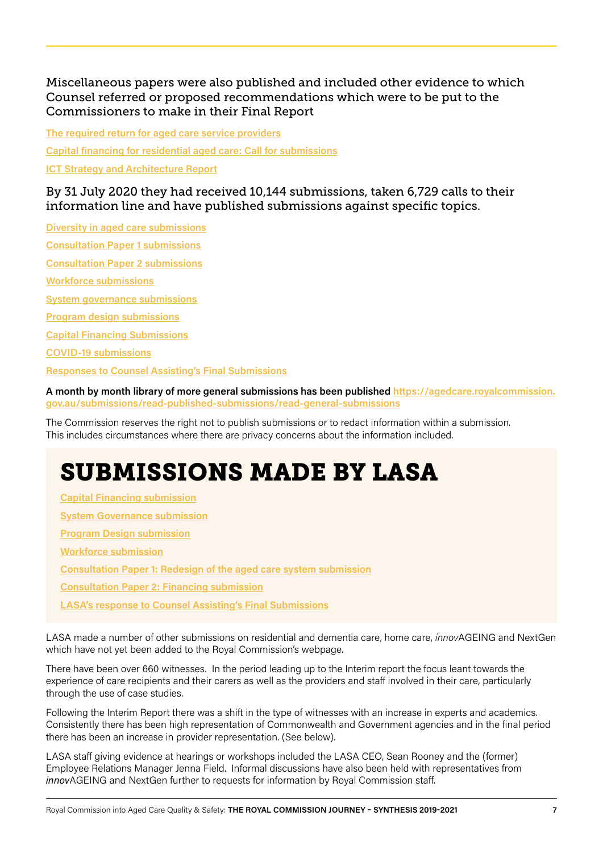Miscellaneous papers were also published and included other evidence to which Counsel referred or proposed recommendations which were to be put to the Commissioners to make in their Final Report

**[The required return for aged care service providers](https://agedcare.royalcommission.gov.au/publications/required-return-aged-care-service-providers) [Capital financing for residential aged care: Call for submissions](https://agedcare.royalcommission.gov.au/publications/capital-financing-residential-aged-care-call-submissions) [ICT Strategy and Architecture Report](https://agedcare.royalcommission.gov.au/publications/ict-strategy-and-architecture-report)**

By 31 July 2020 they had received 10,144 submissions, taken 6,729 calls to their information line and have published submissions against specific topics.

**[Diversity in aged care submissions](http://Diversity in aged care submissions) [Consultation Paper 1 submissions](https://agedcare.royalcommission.gov.au/submissions/read-published-submissions/consultation-paper-1-submissions)**

**[Consultation Paper 2 submissions](https://agedcare.royalcommission.gov.au/submissions/read-published-submissions/consultation-paper-2-submissions)**

**[Workforce submissions](https://agedcare.royalcommission.gov.au/submissions/read-published-submissions/workforce-submissions)**

**[System governance submissions](https://agedcare.royalcommission.gov.au/submissions/read-published-submissions/system-governance-submissions)**

**[Program design submissions](https://agedcare.royalcommission.gov.au/submissions/read-published-submissions/program-design-submissions)**

**[Capital Financing Submissions](https://agedcare.royalcommission.gov.au/submissions/read-published-submissions/capital-financing-submissions)**

**[COVID-19 submissions](https://agedcare.royalcommission.gov.au/submissions/read-published-submissions/covid-19-submissions)**

**[Responses to Counsel Assisting's Final Submissions](https://agedcare.royalcommission.gov.au/submissions/read-published-submissions/responses-counsel-assistings-final-submissions)**

**A month by month library of more general submissions has been published [https://agedcare.royalcommission.](https://agedcare.royalcommission.gov.au/submissions/read-published-submissions/read-general-submissions) [gov.au/submissions/read-published-submissions/read-general-submissions](https://agedcare.royalcommission.gov.au/submissions/read-published-submissions/read-general-submissions)**

The Commission reserves the right not to publish submissions or to redact information within a submission. This includes circumstances where there are privacy concerns about the information included.

# SUBMISSIONS MADE BY LASA

**[Capital Financing submission](https://agedcare.royalcommission.gov.au/media/29727) [System Governance submission](https://agedcare.royalcommission.gov.au/media/28875) [Program Design submission](https://agedcare.royalcommission.gov.au/media/28648) [Workforce submission](https://agedcare.royalcommission.gov.au/media/27220) [Consultation Paper 1: Redesign of the aged care system submission](https://agedcare.royalcommission.gov.au/media/26658) [Consultation Paper 2: Financing submission](https://agedcare.royalcommission.gov.au/media/28179) [LASA's response to Counsel Assisting's Final Submissions](https://agedcare.royalcommission.gov.au/media/30412)**

LASA made a number of other submissions on residential and dementia care, home care, *innov*AGEING and NextGen which have not yet been added to the Royal Commission's webpage.

There have been over 660 witnesses. In the period leading up to the Interim report the focus leant towards the experience of care recipients and their carers as well as the providers and staff involved in their care, particularly through the use of case studies.

Following the Interim Report there was a shift in the type of witnesses with an increase in experts and academics. Consistently there has been high representation of Commonwealth and Government agencies and in the final period there has been an increase in provider representation. (See below).

LASA staff giving evidence at hearings or workshops included the LASA CEO, Sean Rooney and the (former) Employee Relations Manager Jenna Field. Informal discussions have also been held with representatives from *innov*AGEING and NextGen further to requests for information by Royal Commission staff.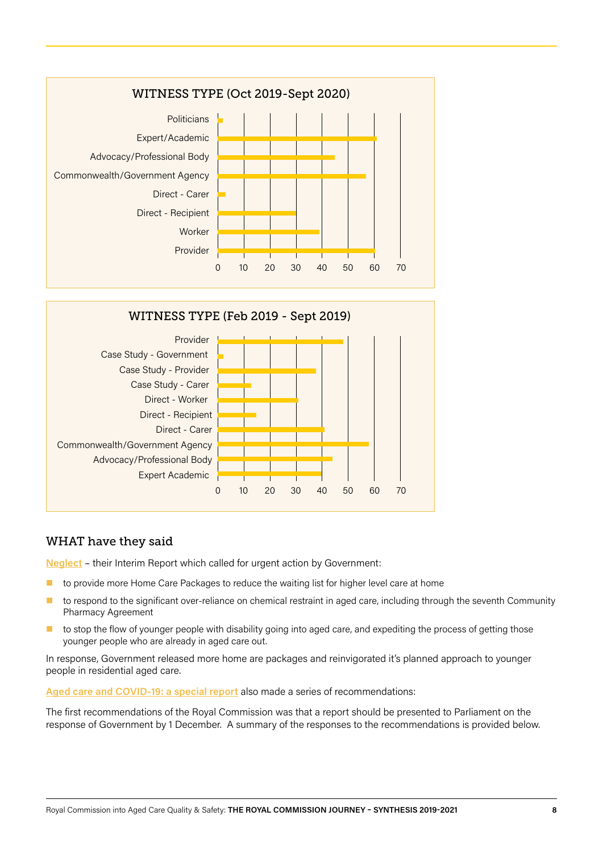



### WHAT have they said

**[Neglect](https://agedcare.royalcommission.gov.au/publications/interim-report)** – their Interim Report which called for urgent action by Government:

- $\blacksquare$  to provide more Home Care Packages to reduce the waiting list for higher level care at home
- to respond to the significant over-reliance on chemical restraint in aged care, including through the seventh Community Pharmacy Agreement
- to stop the flow of younger people with disability going into aged care, and expediting the process of getting those younger people who are already in aged care out.

In response, Government released more home are packages and reinvigorated it's planned approach to younger people in residential aged care.

**[Aged care and COVID-19: a special report](https://agedcare.royalcommission.gov.au/publications/aged-care-and-covid-19-special-report)** also made a series of recommendations:

The first recommendations of the Royal Commission was that a report should be presented to Parliament on the response of Government by 1 December. A summary of the responses to the recommendations is provided below.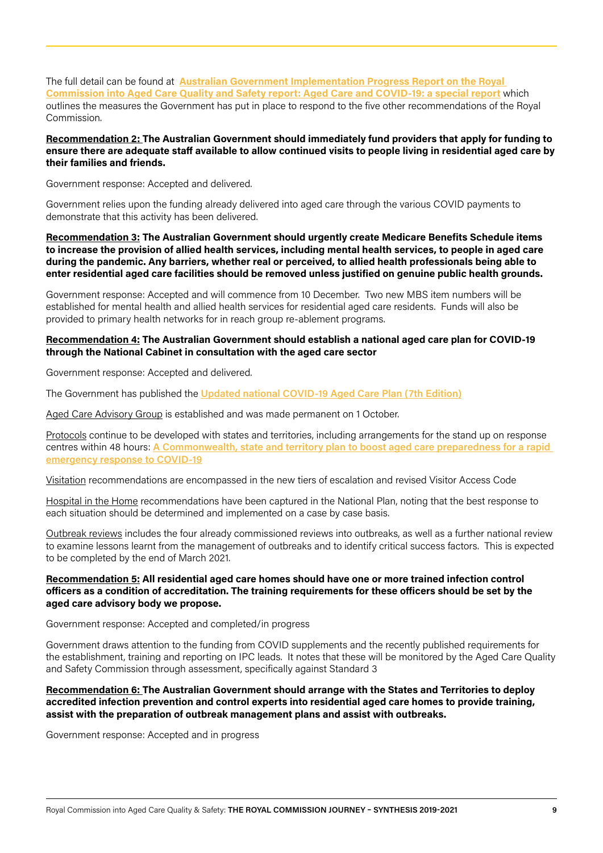The full detail can be found at **[Australian Government Implementation Progress Report on the Royal](https://www.health.gov.au/resources/publications/australian-government-implementation-progress-report-on-the-royal-commission-into-aged-care-quality-and-safety-report-aged-care-and-covid-19-a-special-report)  [Commission into Aged Care Quality and Safety report: Aged Care and COVID-19: a special report](https://www.health.gov.au/resources/publications/australian-government-implementation-progress-report-on-the-royal-commission-into-aged-care-quality-and-safety-report-aged-care-and-covid-19-a-special-report)** which outlines the measures the Government has put in place to respond to the five other recommendations of the Royal Commission.

**Recommendation 2: The Australian Government should immediately fund providers that apply for funding to ensure there are adequate staff available to allow continued visits to people living in residential aged care by their families and friends.**

Government response: Accepted and delivered.

Government relies upon the funding already delivered into aged care through the various COVID payments to demonstrate that this activity has been delivered.

**Recommendation 3: The Australian Government should urgently create Medicare Benefits Schedule items to increase the provision of allied health services, including mental health services, to people in aged care during the pandemic. Any barriers, whether real or perceived, to allied health professionals being able to enter residential aged care facilities should be removed unless justified on genuine public health grounds.**

Government response: Accepted and will commence from 10 December. Two new MBS item numbers will be established for mental health and allied health services for residential aged care residents. Funds will also be provided to primary health networks for in reach group re-ablement programs.

#### **Recommendation 4: The Australian Government should establish a national aged care plan for COVID-19 through the National Cabinet in consultation with the aged care sector**

Government response: Accepted and delivered.

The Government has published the **[Updated national COVID-19 Aged Care Plan \(7th Edition\)](https://www.health.gov.au/resources/publications/updated-national-covid-19-aged-care-plan-7th-edition)**

Aged Care Advisory Group is established and was made permanent on 1 October.

Protocols continue to be developed with states and territories, including arrangements for the stand up on response centres within 48 hours: **[A Commonwealth, state and territory plan to boost aged care preparedness for a rapid](https://www.health.gov.au/resources/publications/a-commonwealth-state-and-territory-plan-to-boost-aged-care-preparedness-for-a-rapid-emergency-response-to-covid-19)  [emergency response to COVID-19](https://www.health.gov.au/resources/publications/a-commonwealth-state-and-territory-plan-to-boost-aged-care-preparedness-for-a-rapid-emergency-response-to-covid-19)**

Visitation recommendations are encompassed in the new tiers of escalation and revised Visitor Access Code

Hospital in the Home recommendations have been captured in the National Plan, noting that the best response to each situation should be determined and implemented on a case by case basis.

Outbreak reviews includes the four already commissioned reviews into outbreaks, as well as a further national review to examine lessons learnt from the management of outbreaks and to identify critical success factors. This is expected to be completed by the end of March 2021.

#### **Recommendation 5: All residential aged care homes should have one or more trained infection control officers as a condition of accreditation. The training requirements for these officers should be set by the aged care advisory body we propose.**

Government response: Accepted and completed/in progress

Government draws attention to the funding from COVID supplements and the recently published requirements for the establishment, training and reporting on IPC leads. It notes that these will be monitored by the Aged Care Quality and Safety Commission through assessment, specifically against Standard 3

#### **Recommendation 6: The Australian Government should arrange with the States and Territories to deploy accredited infection prevention and control experts into residential aged care homes to provide training, assist with the preparation of outbreak management plans and assist with outbreaks.**

Government response: Accepted and in progress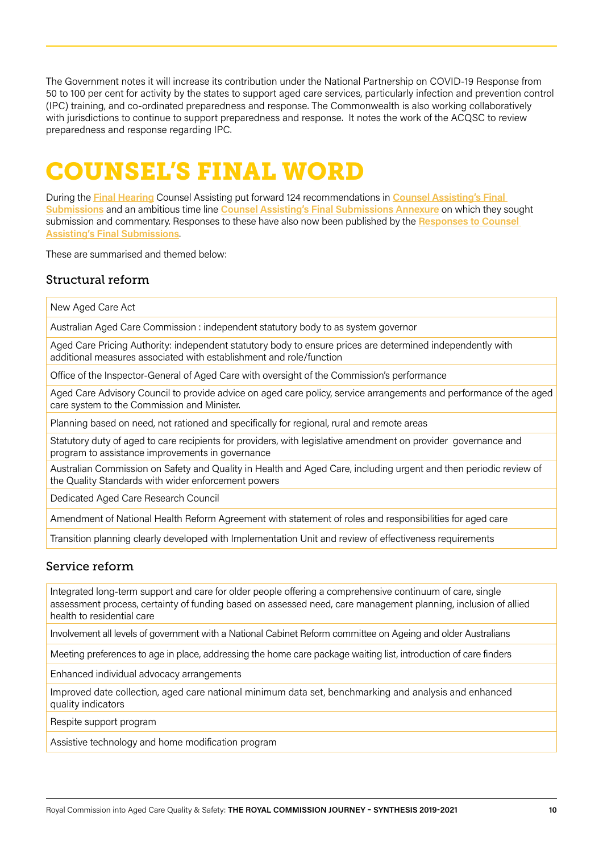The Government notes it will increase its contribution under the National Partnership on COVID-19 Response from 50 to 100 per cent for activity by the states to support aged care services, particularly infection and prevention control (IPC) training, and co-ordinated preparedness and response. The Commonwealth is also working collaboratively with jurisdictions to continue to support preparedness and response. It notes the work of the ACQSC to review preparedness and response regarding IPC.

## COUNSEL'S FINAL WORD

During the **[Final Hearing](https://agedcare.royalcommission.gov.au/hearings-and-workshops/final-hearing)** Counsel Assisting put forward 124 recommendations in **[Counsel Assisting's Final](https://agedcare.royalcommission.gov.au/media/29099)  [Submissions](https://agedcare.royalcommission.gov.au/media/29099)** and an ambitious time line **[Counsel Assisting's Final Submissions Annexure](https://agedcare.royalcommission.gov.au/media/29102)** on which they sought submission and commentary. Responses to these have also now been published by the **[Responses to Counsel](https://agedcare.royalcommission.gov.au/submissions/read-published-submissions/responses-counsel-assistings-final-submissions)  [Assisting's Final Submissions](https://agedcare.royalcommission.gov.au/submissions/read-published-submissions/responses-counsel-assistings-final-submissions)**.

These are summarised and themed below:

## Structural reform

New Aged Care Act

Australian Aged Care Commission : independent statutory body to as system governor

Aged Care Pricing Authority: independent statutory body to ensure prices are determined independently with additional measures associated with establishment and role/function

Office of the Inspector-General of Aged Care with oversight of the Commission's performance

Aged Care Advisory Council to provide advice on aged care policy, service arrangements and performance of the aged care system to the Commission and Minister.

Planning based on need, not rationed and specifically for regional, rural and remote areas

Statutory duty of aged to care recipients for providers, with legislative amendment on provider governance and program to assistance improvements in governance

Australian Commission on Safety and Quality in Health and Aged Care, including urgent and then periodic review of the Quality Standards with wider enforcement powers

Dedicated Aged Care Research Council

Amendment of National Health Reform Agreement with statement of roles and responsibilities for aged care

Transition planning clearly developed with Implementation Unit and review of effectiveness requirements

### Service reform

Integrated long-term support and care for older people offering a comprehensive continuum of care, single assessment process, certainty of funding based on assessed need, care management planning, inclusion of allied health to residential care

Involvement all levels of government with a National Cabinet Reform committee on Ageing and older Australians

Meeting preferences to age in place, addressing the home care package waiting list, introduction of care finders

Enhanced individual advocacy arrangements

Improved date collection, aged care national minimum data set, benchmarking and analysis and enhanced quality indicators

Respite support program

Assistive technology and home modification program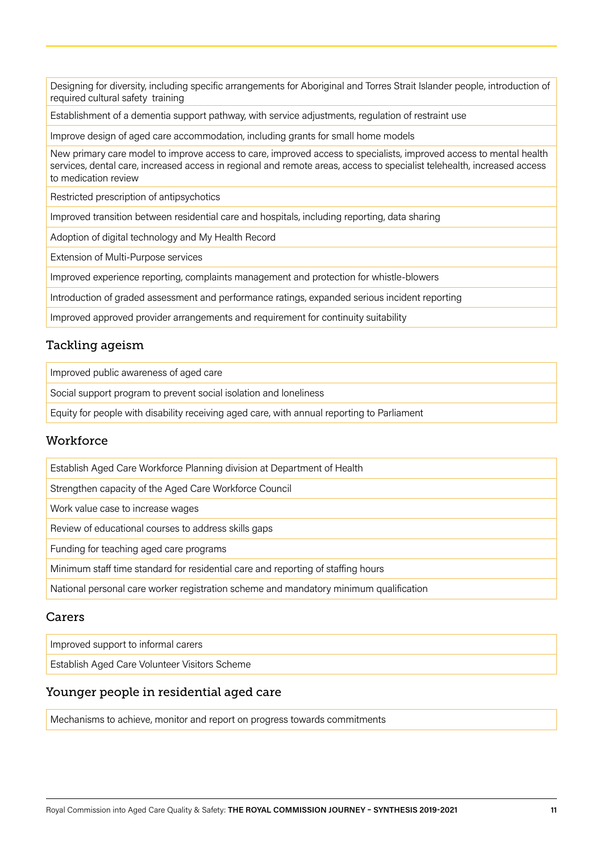Designing for diversity, including specific arrangements for Aboriginal and Torres Strait Islander people, introduction of required cultural safety training

Establishment of a dementia support pathway, with service adjustments, regulation of restraint use

Improve design of aged care accommodation, including grants for small home models

New primary care model to improve access to care, improved access to specialists, improved access to mental health services, dental care, increased access in regional and remote areas, access to specialist telehealth, increased access to medication review

Restricted prescription of antipsychotics

Improved transition between residential care and hospitals, including reporting, data sharing

Adoption of digital technology and My Health Record

Extension of Multi-Purpose services

Improved experience reporting, complaints management and protection for whistle-blowers

Introduction of graded assessment and performance ratings, expanded serious incident reporting

Improved approved provider arrangements and requirement for continuity suitability

### Tackling ageism

Improved public awareness of aged care

Social support program to prevent social isolation and loneliness

Equity for people with disability receiving aged care, with annual reporting to Parliament

### **Workforce**

Establish Aged Care Workforce Planning division at Department of Health

Strengthen capacity of the Aged Care Workforce Council

Work value case to increase wages

Review of educational courses to address skills gaps

Funding for teaching aged care programs

Minimum staff time standard for residential care and reporting of staffing hours

National personal care worker registration scheme and mandatory minimum qualification

### Carers

Improved support to informal carers

Establish Aged Care Volunteer Visitors Scheme

### Younger people in residential aged care

Mechanisms to achieve, monitor and report on progress towards commitments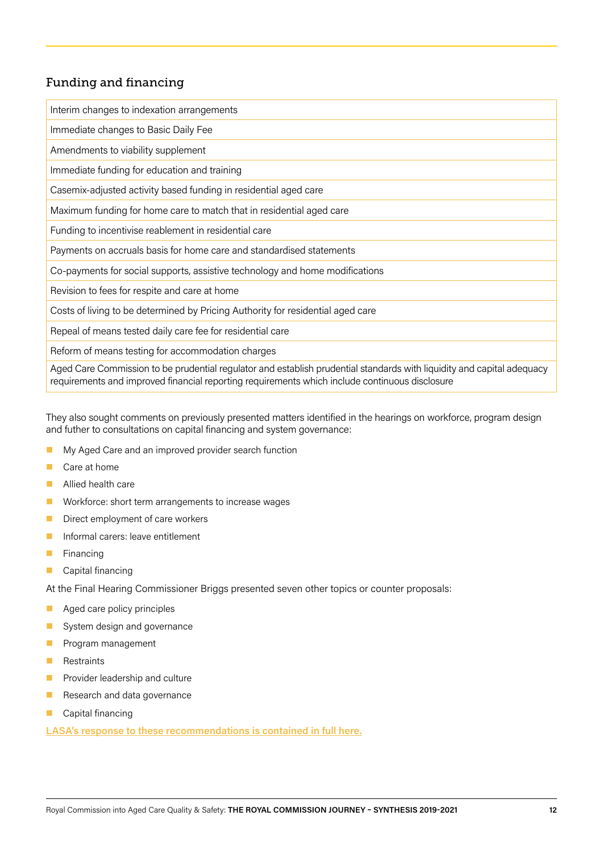## Funding and financing

Interim changes to indexation arrangements Immediate changes to Basic Daily Fee Amendments to viability supplement Immediate funding for education and training Casemix-adjusted activity based funding in residential aged care Maximum funding for home care to match that in residential aged care Funding to incentivise reablement in residential care Payments on accruals basis for home care and standardised statements Co-payments for social supports, assistive technology and home modifications Revision to fees for respite and care at home Costs of living to be determined by Pricing Authority for residential aged care Repeal of means tested daily care fee for residential care Reform of means testing for accommodation charges Aged Care Commission to be prudential regulator and establish prudential standards with liquidity and capital adequacy requirements and improved financial reporting requirements which include continuous disclosure

They also sought comments on previously presented matters identified in the hearings on workforce, program design and futher to consultations on capital financing and system governance:

- My Aged Care and an improved provider search function
- Care at home
- Allied health care
- **Norkforce: short term arrangements to increase wages**
- Direct employment of care workers
- **Informal carers: leave entitlement**
- $\blacksquare$  Financing
- **Capital financing**

At the Final Hearing Commissioner Briggs presented seven other topics or counter proposals:

- Aged care policy principles
- System design and governance
- **Program management**
- **Restraints**
- **Provider leadership and culture**
- **Research and data governance**
- Capital financing

**[LASA's response to these recommendations is contained in full here.](https://agedcare.royalcommission.gov.au/media/30411)**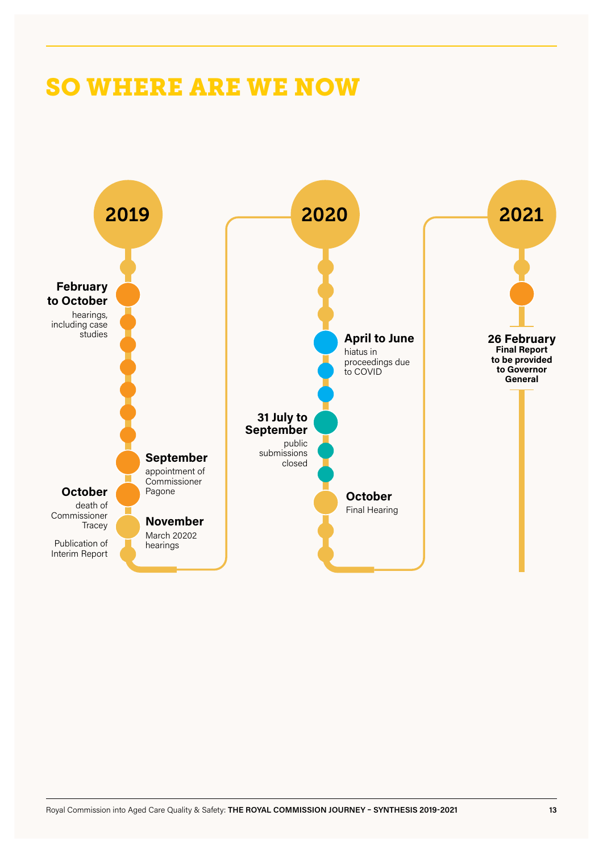## SO WHERE ARE WE NOW

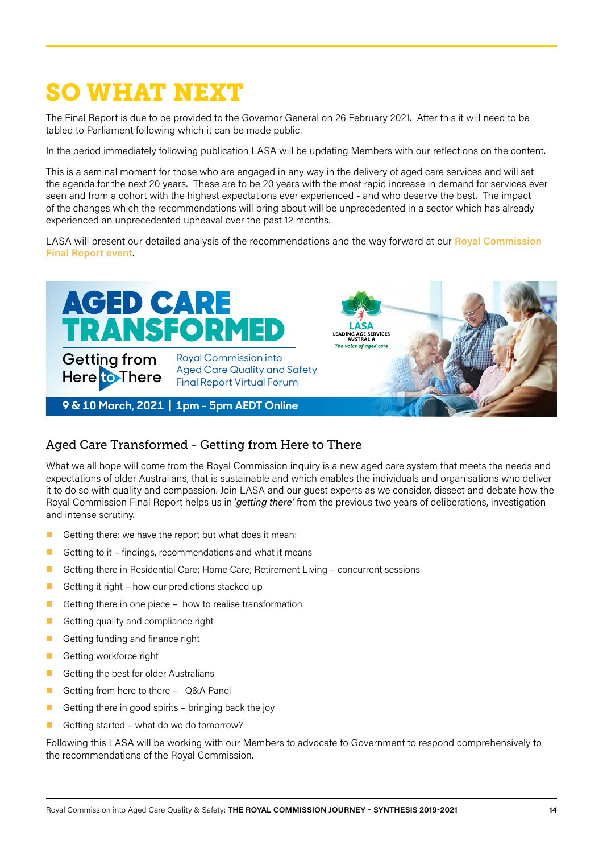# SO WHAT NEXT

The Final Report is due to be provided to the Governor General on 26 February 2021. After this it will need to be tabled to Parliament following which it can be made public.

In the period immediately following publication LASA will be updating Members with our reflections on the content.

This is a seminal moment for those who are engaged in any way in the delivery of aged care services and will set the agenda for the next 20 years. These are to be 20 years with the most rapid increase in demand for services ever seen and from a cohort with the highest expectations ever experienced - and who deserve the best. The impact of the changes which the recommendations will bring about will be unprecedented in a sector which has already experienced an unprecedented upheaval over the past 12 months.

LASA will present our detailed analysis of the recommendations and the way forward at our **[Royal Commission](https://lasa.asn.au/agedcare-transformed-forum)  [Final Report event](https://lasa.asn.au/agedcare-transformed-forum)**.



## Aged Care Transformed - Getting from Here to There

What we all hope will come from the Royal Commission inquiry is a new aged care system that meets the needs and expectations of older Australians, that is sustainable and which enables the individuals and organisations who deliver it to do so with quality and compassion. Join LASA and our guest experts as we consider, dissect and debate how the Royal Commission Final Report helps us in '*getting there'* from the previous two years of deliberations, investigation and intense scrutiny.

- Getting there: we have the report but what does it mean:
- Getting to it findings, recommendations and what it means
- Getting there in Residential Care; Home Care; Retirement Living concurrent sessions
- Getting it right how our predictions stacked up
- Getting there in one piece how to realise transformation
- Getting quality and compliance right
- Getting funding and finance right
- Getting workforce right
- Getting the best for older Australians
- Getting from here to there Q&A Panel
- Getting there in good spirits bringing back the joy
- Getting started what do we do tomorrow?

Following this LASA will be working with our Members to advocate to Government to respond comprehensively to the recommendations of the Royal Commission.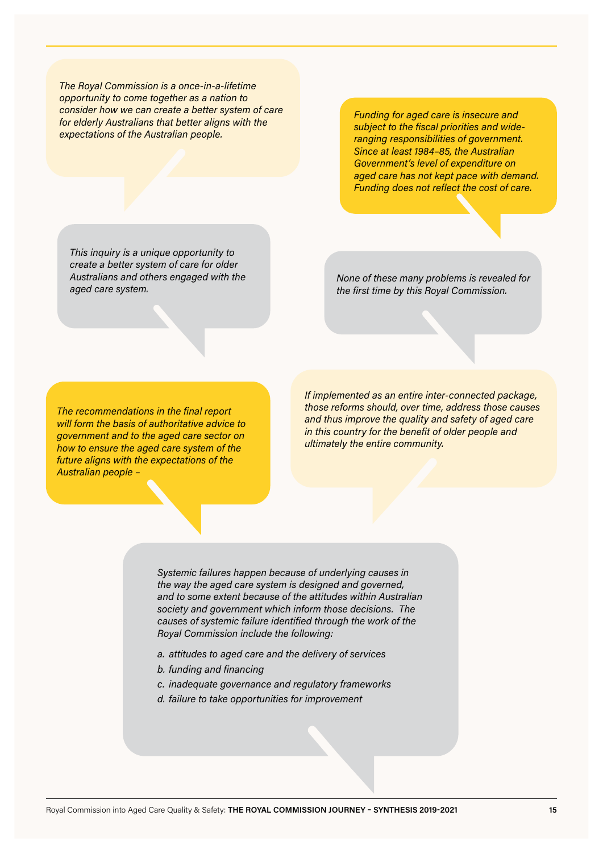*The Royal Commission is a once-in-a-lifetime opportunity to come together as a nation to consider how we can create a better system of care for elderly Australians that better aligns with the expectations of the Australian people.*

*Funding for aged care is insecure and subject to the fiscal priorities and wideranging responsibilities of government. Since at least 1984–85, the Australian Government's level of expenditure on aged care has not kept pace with demand. Funding does not reflect the cost of care.*

*This inquiry is a unique opportunity to create a better system of care for older Australians and others engaged with the aged care system.*

*None of these many problems is revealed for the first time by this Royal Commission.*

*The recommendations in the final report will form the basis of authoritative advice to government and to the aged care sector on how to ensure the aged care system of the future aligns with the expectations of the Australian people –*

*If implemented as an entire inter-connected package, those reforms should, over time, address those causes and thus improve the quality and safety of aged care in this country for the benefit of older people and ultimately the entire community.*

*Systemic failures happen because of underlying causes in the way the aged care system is designed and governed, and to some extent because of the attitudes within Australian society and government which inform those decisions. The causes of systemic failure identified through the work of the Royal Commission include the following:*

- *a. attitudes to aged care and the delivery of services*
- *b. funding and financing*
- *c. inadequate governance and regulatory frameworks*
- *d. failure to take opportunities for improvement*